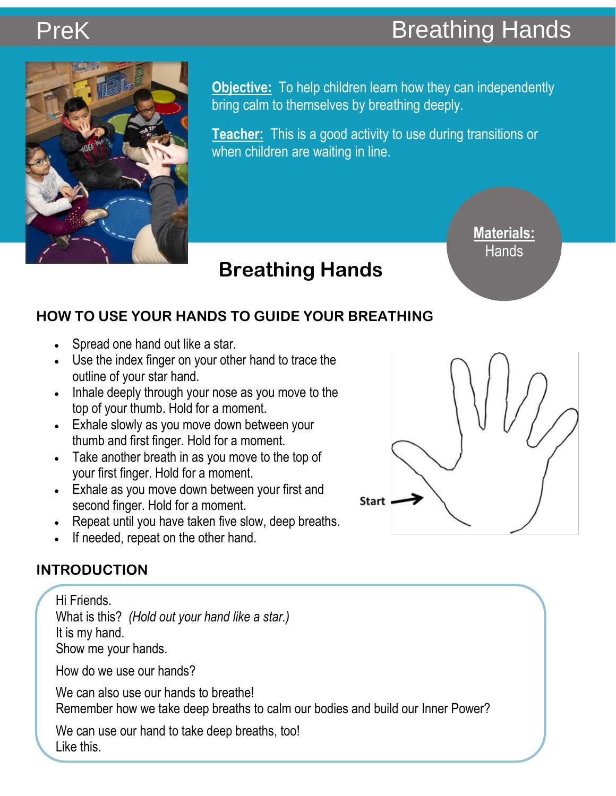# PreKBreathing Hands**PreK**



**Objective:** To help children learn how they can independently **Objective:** To help children learn how they can independently bring calm to themselves by breathing deeply. bring calm to themselves by breathing deeply.

**Teacher:** This is a good activity to use during transitions or when children are waiting in line.

 **Breathing Hands** 

**Materials: Hands** 

# **HOW TO USE YOUR HANDS TO GUIDE YOUR BREATHING**

- Spread one hand out like a star.
- Use the index finger on your other hand to trace the outline of your star hand.
- Inhale deeply through your nose as you move to the top of your thumb. Hold for a moment.
- Exhale slowly as you move down between your thumb and first finger. Hold for a moment.
- Take another breath in as you move to the top of your first finger. Hold for a moment.
- Exhale as you move down between your first and second finger. Hold for a moment.
- Repeat until you have taken five slow, deep breaths.
- If needed, repeat on the other hand.

# **INTRODUCTION**

Hi Friends. What is this? *(Hold out your hand like a star.)* It is my hand. Show me your hands.

How do we use our hands?

We can also use our hands to breathe! Remember how we take deep breaths to calm our bodies and build our Inner Power?

We can use our hand to take deep breaths, too! Like this.